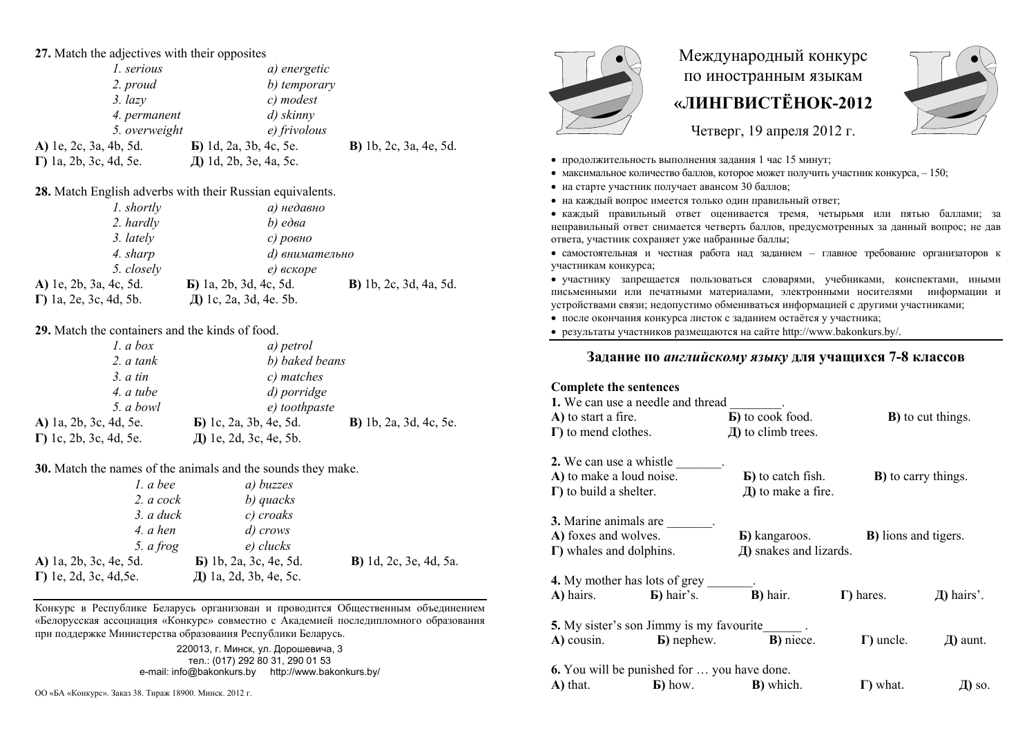| 27. Match the adjectives with their opposites   |                                                              |                                |  |  |
|-------------------------------------------------|--------------------------------------------------------------|--------------------------------|--|--|
| 1. serious                                      | a) energetic                                                 |                                |  |  |
| 2. proud                                        | b) temporary                                                 |                                |  |  |
| $3. \text{lazy}$                                | c) modest                                                    |                                |  |  |
| 4. permanent                                    | $d)$ skinny                                                  |                                |  |  |
| 5. overweight                                   | $e)$ frivolous                                               |                                |  |  |
| A) 1e, 2c, 3a, 4b, 5d.                          | <b>b</b> ) 1d, 2a, 3b, 4c, 5e.                               | <b>B</b> ) 1b, 2c, 3a, 4e, 5d. |  |  |
| $\Gamma$ ) 1a, 2b, 3c, 4d, 5e.                  | Д) 1d, 2b, 3e, 4a, 5c.                                       |                                |  |  |
|                                                 | 28. Match English adverbs with their Russian equivalents.    |                                |  |  |
| 1. shortly                                      | а) недавно                                                   |                                |  |  |
| 2. hardly                                       | $b)$ edea                                                    |                                |  |  |
| 3. lately                                       | с) ровно                                                     |                                |  |  |
| 4. sharp                                        | d) внимательно                                               |                                |  |  |
| 5. closely                                      | е) вскоре                                                    |                                |  |  |
| A) 1e, 2b, 3a, 4c, 5d.                          | <b>b</b> ) 1a, 2b, 3d, 4c, 5d.                               | <b>B</b> ) 1b, 2c, 3d, 4a, 5d. |  |  |
| $\Gamma$ ) 1a, 2e, 3c, 4d, 5b.                  | Д) 1c, 2a, 3d, 4e. 5b.                                       |                                |  |  |
| 29. Match the containers and the kinds of food. |                                                              |                                |  |  |
| 1. a box                                        | a) petrol                                                    |                                |  |  |
| 2. a tank                                       | b) baked beans                                               |                                |  |  |
| 3. a tin                                        | c) matches                                                   |                                |  |  |
| 4. a tube                                       | d) porridge                                                  |                                |  |  |
| 5. a bowl                                       | e) toothpaste                                                |                                |  |  |
| A) 1a, 2b, 3c, 4d, 5e.                          | <b>b</b> ) 1c, 2a, 3b, 4e, 5d.                               | <b>B</b> ) 1b, 2a, 3d, 4c, 5e. |  |  |
| $\Gamma$ ) 1c, 2b, 3c, 4d, 5e.                  | Д) 1e, 2d, 3c, 4e, 5b.                                       |                                |  |  |
|                                                 | 30. Match the names of the animals and the sounds they make. |                                |  |  |
| $1. a$ bee                                      | a) buzzes                                                    |                                |  |  |
| $2. a \, cock$                                  | b) quacks                                                    |                                |  |  |
| $3. a$ duck                                     | c) croaks                                                    |                                |  |  |
| 4. a hen                                        | d) crows                                                     |                                |  |  |
| 5. a frog                                       | $e)$ clucks                                                  |                                |  |  |
| A) 1a, 2b, 3c, 4e, 5d.                          | <b>B</b> ) 1b, 2a, 3c, 4e, 5d.                               | <b>B</b> ) 1d, 2c, 3e, 4d, 5a. |  |  |

Конкурс в Республике Беларусь организован и проводится Общественным объединением «Белорусская ассоциация «Конкурс» совместно с Академией последипломного образования при поддержке Министерства образования Республики Беларусь.

Th 1a, 2d, 3b, 4e, 5c,

220013 г Минск уп Лорошевича 3 тел.: (017) 292 80 31, 290 01 53 e-mail: info@bakonkurs.by http://www.bakonkurs.by/

 $\Gamma$ ) 1e, 2d, 3c, 4d, 5e.



## Международный конкурс по иностранным языкам «ЛИНГВИСТЁНОК-2012



Четверг, 19 апреля 2012 г.

- продолжительность выполнения задания 1 час 15 минут;
- максимальное количество баллов, которое может получить участник конкурса,  $-150$ ;
- на старте участник получает авансом 30 баллов:
- на каждый вопрос имеется только один правильный ответ;

• каждый правильный ответ оценивается тремя, четырьмя или пятью баллами; за неправильный ответ снимается четверть баллов, прелусмотренных за ланный вопрос: не дав ответа, участник сохраняет уже набранные баллы;

• самостоятельная и честная работа над заданием - главное требование организаторов к участникам конкурса;

• участнику запрешается пользоваться словарями, учебниками, конспектами, иными письменными или печатными материалами, электронными носителями информации и устройствами связи; недопустимо обмениваться информацией с другими участниками;

• после окончания конкурса листок с заданием остаётся у участника;

• результаты участников размешаются на сайте http://www.bakonkurs.bv/.

## Задание по английскому языку для учащихся 7-8 классов

| <b>Complete the sentences</b>                      |                                   |                              |                             |
|----------------------------------------------------|-----------------------------------|------------------------------|-----------------------------|
| 1. We can use a needle and thread                  |                                   |                              |                             |
| A) to start a fire.                                | <b>B</b> ) to cook food.          |                              | <b>B</b> ) to cut things.   |
| $\Gamma$ ) to mend clothes.                        | $\bf{I}$ ) to climb trees.        |                              |                             |
| 2. We can use a whistle                            |                                   |                              |                             |
| A) to make a loud noise.                           | <b>B</b> ) to catch fish.         |                              | <b>B</b> ) to carry things. |
| $\Gamma$ ) to build a shelter.                     | $\pi$ ) to make a fire.           |                              |                             |
| 3. Marine animals are                              |                                   |                              |                             |
| A) foxes and wolves.                               | <b>b</b> ) kangaroos.             | <b>B</b> ) lions and tigers. |                             |
| $\Gamma$ ) whales and dolphins.                    | Д) snakes and lizards.            |                              |                             |
| <b>4.</b> My mother has lots of grey               |                                   |                              |                             |
| $\bf{A})$ hairs. $\bf{B})$ hair's.                 | <b>B</b> ) hair.                  | $\Gamma$ ) hares.            | Д) hairs'.                  |
| <b>5.</b> My sister's son Jimmy is my favourite    |                                   |                              |                             |
| <b>A)</b> cousin. <b>b)</b> nephew.                | <b>B</b> ) niece.                 | $\Gamma$ ) uncle.            | Д) aunt.                    |
| <b>6.</b> You will be punished for  you have done. |                                   |                              |                             |
| $\bf{A}$ ) that.                                   | <b>b</b> ) how. <b>B</b> ) which. | $\Gamma$ ) what.             | Д) so.                      |